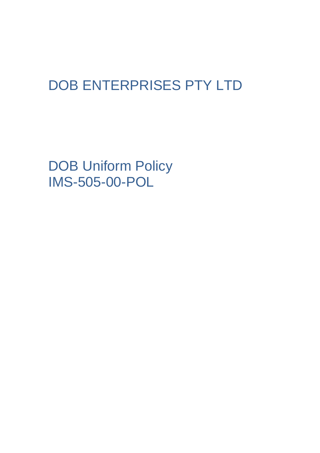# DOB ENTERPRISES PTY LTD

DOB Uniform Policy IMS-505-00-POL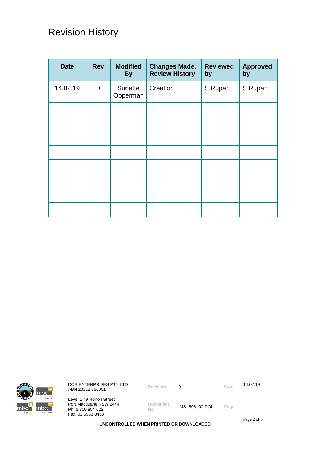| <b>Date</b> | <b>Rev</b>  | <b>Modified</b><br><b>By</b> | <b>Changes Made,</b><br><b>Review History</b> | <b>Reviewed</b><br>by | <b>Approved</b><br>by |
|-------------|-------------|------------------------------|-----------------------------------------------|-----------------------|-----------------------|
| 14.02.19    | $\mathbf 0$ | Sunette<br>Opperman          | Creation                                      | S Rupert              | S Rupert              |
|             |             |                              |                                               |                       |                       |
|             |             |                              |                                               |                       |                       |
|             |             |                              |                                               |                       |                       |
|             |             |                              |                                               |                       |                       |
|             |             |                              |                                               |                       |                       |
|             |             |                              |                                               |                       |                       |
|             |             |                              |                                               |                       |                       |
|             |             |                              |                                               |                       |                       |



**DOB ENTERPRISES PTY LTD**<br>**ABN 20112 866001 Revision 0 Date** 14.02.19

Level 1 49 Horton Street Port Macquarie NSW 2444 Ph: 1 300 854 622 Fax: 02 6583 8468

**Document** 

**No** IMS -505- 00-POL **Page**

**UNCONTROLLED WHEN PRINTED OR DOWNLOADED**

Page 2 of 6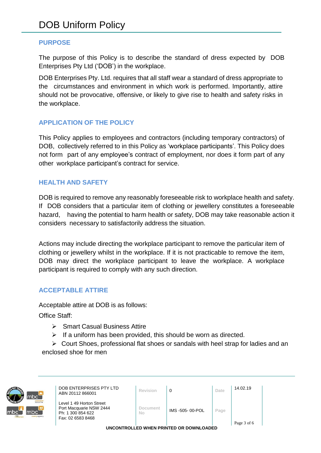#### **PURPOSE**

The purpose of this Policy is to describe the standard of dress expected by DOB Enterprises Pty Ltd ('DOB') in the workplace.

DOB Enterprises Pty. Ltd. requires that all staff wear a standard of dress appropriate to the circumstances and environment in which work is performed. Importantly, attire should not be provocative, offensive, or likely to give rise to health and safety risks in the workplace.

#### **APPLICATION OF THE POLICY**

This Policy applies to employees and contractors (including temporary contractors) of DOB, collectively referred to in this Policy as 'workplace participants'. This Policy does not form part of any employee's contract of employment, nor does it form part of any other workplace participant's contract for service.

#### **HEALTH AND SAFETY**

DOB is required to remove any reasonably foreseeable risk to workplace health and safety. If DOB considers that a particular item of clothing or jewellery constitutes a foreseeable hazard, having the potential to harm health or safety, DOB may take reasonable action it considers necessary to satisfactorily address the situation.

Actions may include directing the workplace participant to remove the particular item of clothing or jewellery whilst in the workplace. If it is not practicable to remove the item, DOB may direct the workplace participant to leave the workplace. A workplace participant is required to comply with any such direction.

#### **ACCEPTABLE ATTIRE**

Acceptable attire at DOB is as follows:

Office Staff:

- ➢ Smart Casual Business Attire
- $\triangleright$  If a uniform has been provided, this should be worn as directed.

➢ Court Shoes, professional flat shoes or sandals with heel strap for ladies and an enclosed shoe for men



**DOB ENTERPRISES PTY LTD**<br>ABN 20112 866001 **Revision 0 Date** 14.02.19

Level 1 49 Horton Street Port Macquarie NSW 2444 Ph: 1 300 854 622 Fax: 02 6583 8468

| Document |
|----------|
| NΩ       |
|          |

| REVISION | . .             | Date. |
|----------|-----------------|-------|
| Document | IMS -505-00-POL | Page  |

Page 3 of 6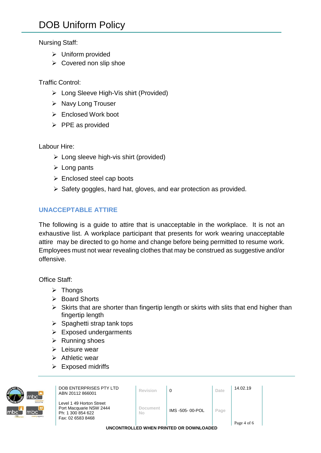## Nursing Staff:

- ➢ Uniform provided
- ➢ Covered non slip shoe

# Traffic Control:

- ➢ Long Sleeve High-Vis shirt (Provided)
- ➢ Navy Long Trouser
- ➢ Enclosed Work boot
- ➢ PPE as provided

## Labour Hire:

- ➢ Long sleeve high-vis shirt (provided)
- ➢ Long pants
- ➢ Enclosed steel cap boots
- ➢ Safety goggles, hard hat, gloves, and ear protection as provided.

# **UNACCEPTABLE ATTIRE**

The following is a guide to attire that is unacceptable in the workplace. It is not an exhaustive list. A workplace participant that presents for work wearing unacceptable attire may be directed to go home and change before being permitted to resume work. Employees must not wear revealing clothes that may be construed as suggestive and/or offensive.

Office Staff:

- ➢ Thongs
- ➢ Board Shorts
- $\triangleright$  Skirts that are shorter than fingertip length or skirts with slits that end higher than fingertip length
- $\triangleright$  Spaghetti strap tank tops
- $\triangleright$  Exposed undergarments
- ➢ Running shoes
- ➢ Leisure wear
- ➢ Athletic wear
- ➢ Exposed midriffs



**DOB ENTERPRISES PTY LTD**<br>ABN 20112 866001 **Revision 0 Date** 14.02.19

Level 1 49 Horton Street Port Macquarie NSW 2444 Ph: 1 300 854 622 Fax: 02 6583 8468

**Document** 

**No** IMS -505- 00-POL **Page**

Page 4 of 6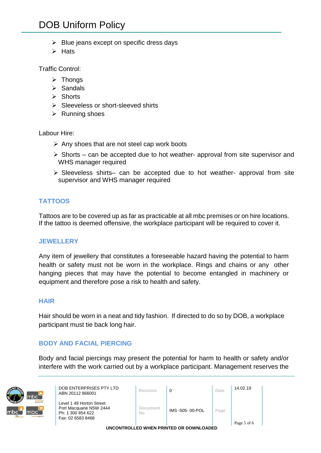# DOB Uniform Policy

- $\triangleright$  Blue jeans except on specific dress days
- ➢ Hats

Traffic Control:

- ➢ Thongs
- ➢ Sandals
- ➢ Shorts
- ➢ Sleeveless or short-sleeved shirts
- ➢ Running shoes

Labour Hire:

- ➢ Any shoes that are not steel cap work boots
- $\triangleright$  Shorts can be accepted due to hot weather- approval from site supervisor and WHS manager required
- ➢ Sleeveless shirts– can be accepted due to hot weather- approval from site supervisor and WHS manager required

#### **TATTOOS**

Tattoos are to be covered up as far as practicable at all mbc premises or on hire locations. If the tattoo is deemed offensive, the workplace participant will be required to cover it.

#### **JEWELLERY**

Any item of jewellery that constitutes a foreseeable hazard having the potential to harm health or safety must not be worn in the workplace. Rings and chains or any other hanging pieces that may have the potential to become entangled in machinery or equipment and therefore pose a risk to health and safety.

#### **HAIR**

Hair should be worn in a neat and tidy fashion. If directed to do so by DOB, a workplace participant must tie back long hair.

#### **BODY AND FACIAL PIERCING**

Body and facial piercings may present the potential for harm to health or safety and/or interfere with the work carried out by a workplace participant. Management reserves the



**DOB ENTERPRISES PTY LTD**<br>ABN 20112 866001 **Revision 0 Date** 14.02.19

Level 1 49 Horton Street Port Macquarie NSW 2444 Ph: 1 300 854 622 Fax: 02 6583 8468

**Document** 

**No** IMS -505- 00-POL **Page**

Page 5 of 6